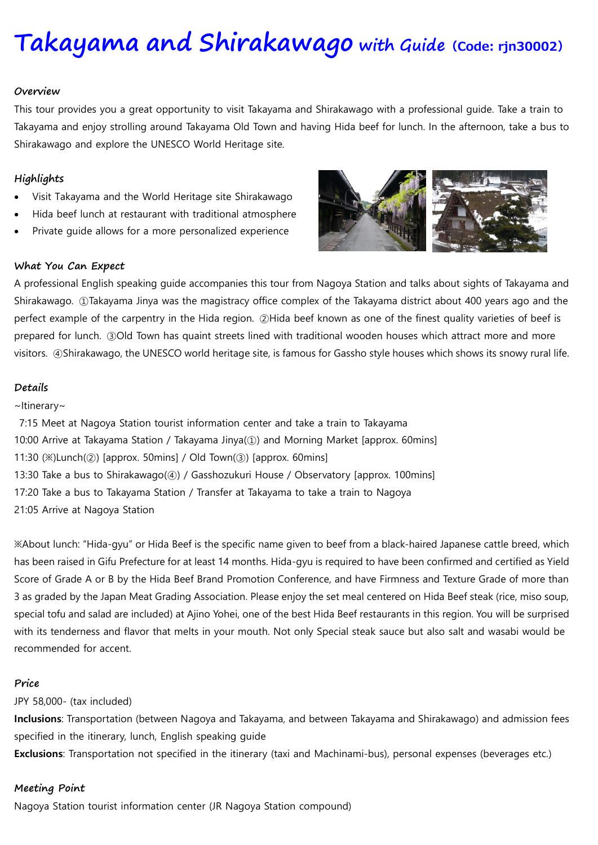# **[Takayama](https://www.viator.com/tours/Nagoya/Japanese-Food-Sample-Making-in-Nagoya/d4701-27453P15) and Shirakawago with Guide(Code: rjn30002)**

#### **Overview**

This tour provides you a great opportunity to visit Takayama and Shirakawago with a professional guide. Take a train to Takayama and enjoy strolling around Takayama Old Town and having Hida beef for lunch. In the afternoon, take a bus to Shirakawago and explore the UNESCO World Heritage site.

## **Highlights**

- Visit Takayama and the World Heritage site Shirakawago
- Hida beef lunch at restaurant with traditional atmosphere
- Private guide allows for a more personalized experience



#### **What You Can Expect**

A professional English speaking guide accompanies this tour from Nagoya Station and talks about sights of Takayama and Shirakawago. ①Takayama Jinya was the magistracy office complex of the Takayama district about 400 years ago and the perfect example of the carpentry in the Hida region. ②Hida beef known as one of the finest quality varieties of beef is prepared for lunch. ③Old Town has quaint streets lined with traditional wooden houses which attract more and more visitors. ④Shirakawago, the UNESCO world heritage site, is famous for Gassho style houses which shows its snowy rural life.

#### **Details**

### ~Itinerary~

7:15 Meet at Nagoya Station tourist information center and take a train to Takayama 10:00 Arrive at Takayama Station / Takayama Jinya(①) and Morning Market [approx. 60mins] 11:30  $(\%)$ Lunch $(Q)$  [approx. 50mins] / Old Town $(Q)$  [approx. 60mins] 13:30 Take a bus to Shirakawago(④) / Gasshozukuri House / Observatory [approx. 100mins] 17:20 Take a bus to Takayama Station / Transfer at Takayama to take a train to Nagoya 21:05 Arrive at Nagoya Station

※About lunch: "Hida-gyu" or Hida Beef is the specific name given to beef from a black-haired Japanese cattle breed, which has been raised in Gifu Prefecture for at least 14 months. Hida-gyu is required to have been confirmed and certified as Yield Score of Grade A or B by the Hida Beef Brand Promotion Conference, and have Firmness and Texture Grade of more than 3 as graded by the Japan Meat Grading Association. Please enjoy the set meal centered on Hida Beef steak (rice, miso soup, special tofu and salad are included) at Ajino Yohei, one of the best Hida Beef restaurants in this region. You will be surprised with its tenderness and flavor that melts in your mouth. Not only Special steak sauce but also salt and wasabi would be recommended for accent.

### **Price**

### JPY 58,000- (tax included)

**Inclusions**: Transportation (between Nagoya and Takayama, and between Takayama and Shirakawago) and admission fees specified in the itinerary, lunch, English speaking guide

**Exclusions**: Transportation not specified in the itinerary (taxi and Machinami-bus), personal expenses (beverages etc.)

### **Meeting Point**

Nagoya Station tourist information center (JR Nagoya Station compound)